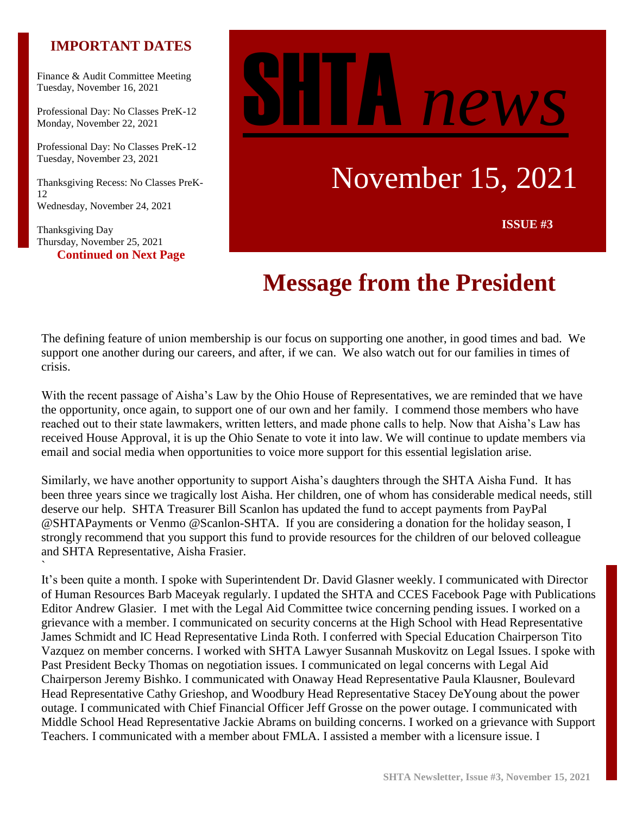## **IMPORTANT DATES**

Finance & Audit Committee Meeting Tuesday, November 16, 2021

Professional Day: No Classes PreK-12 Monday, November 22, 2021

Professional Day: No Classes PreK-12 Tuesday, November 23, 2021

Thanksgiving Recess: No Classes PreK-12 Wednesday, November 24, 2021

Thanksgiving Day Thursday, November 25, 2021 **Continued on Next Page**

`



# **Message from the President**

The defining feature of union membership is our focus on supporting one another, in good times and bad. We support one another during our careers, and after, if we can. We also watch out for our families in times of crisis.

With the recent passage of Aisha's Law by the Ohio House of Representatives, we are reminded that we have the opportunity, once again, to support one of our own and her family. I commend those members who have reached out to their state lawmakers, written letters, and made phone calls to help. Now that Aisha's Law has received House Approval, it is up the Ohio Senate to vote it into law. We will continue to update members via email and social media when opportunities to voice more support for this essential legislation arise.

Similarly, we have another opportunity to support Aisha's daughters through the SHTA Aisha Fund. It has been three years since we tragically lost Aisha. Her children, one of whom has considerable medical needs, still deserve our help. SHTA Treasurer Bill Scanlon has updated the fund to accept payments from PayPal @SHTAPayments or Venmo @Scanlon-SHTA. If you are considering a donation for the holiday season, I strongly recommend that you support this fund to provide resources for the children of our beloved colleague and SHTA Representative, Aisha Frasier.

It's been quite a month. I spoke with Superintendent Dr. David Glasner weekly. I communicated with Director of Human Resources Barb Maceyak regularly. I updated the SHTA and CCES Facebook Page with Publications Editor Andrew Glasier. I met with the Legal Aid Committee twice concerning pending issues. I worked on a grievance with a member. I communicated on security concerns at the High School with Head Representative James Schmidt and IC Head Representative Linda Roth. I conferred with Special Education Chairperson Tito Vazquez on member concerns. I worked with SHTA Lawyer Susannah Muskovitz on Legal Issues. I spoke with Past President Becky Thomas on negotiation issues. I communicated on legal concerns with Legal Aid Chairperson Jeremy Bishko. I communicated with Onaway Head Representative Paula Klausner, Boulevard Head Representative Cathy Grieshop, and Woodbury Head Representative Stacey DeYoung about the power outage. I communicated with Chief Financial Officer Jeff Grosse on the power outage. I communicated with Middle School Head Representative Jackie Abrams on building concerns. I worked on a grievance with Support Teachers. I communicated with a member about FMLA. I assisted a member with a licensure issue. I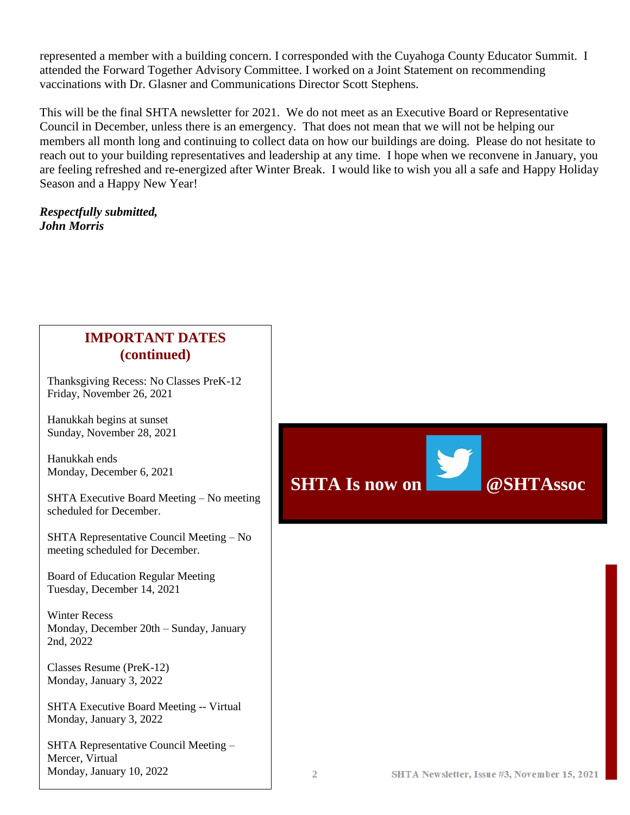represented a member with a building concern. I corresponded with the Cuyahoga County Educator Summit. I attended the Forward Together Advisory Committee. I worked on a Joint Statement on recommending vaccinations with Dr. Glasner and Communications Director Scott Stephens.

This will be the final SHTA newsletter for 2021. We do not meet as an Executive Board or Representative Council in December, unless there is an emergency. That does not mean that we will not be helping our members all month long and continuing to collect data on how our buildings are doing. Please do not hesitate to reach out to your building representatives and leadership at any time. I hope when we reconvene in January, you are feeling refreshed and re-energized after Winter Break. I would like to wish you all a safe and Happy Holiday Season and a Happy New Year!

#### *Respectfully submitted, John Morris*



Thanksgiving Recess: No Classes PreK-12 Friday, November 26, 2021

Hanukkah begins at sunset Sunday, November 28, 2021

Hanukkah ends Monday, December 6, 2021

SHTA Executive Board Meeting – No meeting scheduled for December.

SHTA Representative Council Meeting – No meeting scheduled for December.

Board of Education Regular Meeting Tuesday, December 14, 2021

Winter Recess Monday, December 20th – Sunday, January 2nd, 2022

Classes Resume (PreK-12) Monday, January 3, 2022

SHTA Executive Board Meeting -- Virtual Monday, January 3, 2022

SHTA Representative Council Meeting – Mercer, Virtual Monday, January 10, 2022

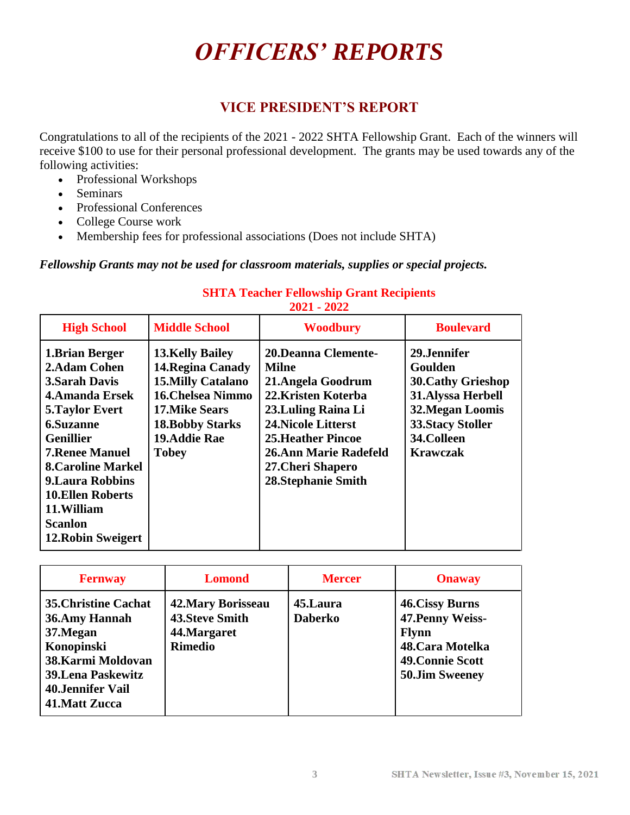# *OFFICERS' REPORTS*

## **VICE PRESIDENT'S REPORT**

Congratulations to all of the recipients of the 2021 - 2022 SHTA Fellowship Grant. Each of the winners will receive \$100 to use for their personal professional development. The grants may be used towards any of the following activities:

- Professional Workshops
- Seminars
- Professional Conferences
- College Course work
- Membership fees for professional associations (Does not include SHTA)

*Fellowship Grants may not be used for classroom materials, supplies or special projects.*

|                                                                                                                                                                                                                                                                                                                                 |                                                                                                                                                                                        | 2021 - 2022                                                                                                                                                                                                                                          |                                                                                                                                                                   |
|---------------------------------------------------------------------------------------------------------------------------------------------------------------------------------------------------------------------------------------------------------------------------------------------------------------------------------|----------------------------------------------------------------------------------------------------------------------------------------------------------------------------------------|------------------------------------------------------------------------------------------------------------------------------------------------------------------------------------------------------------------------------------------------------|-------------------------------------------------------------------------------------------------------------------------------------------------------------------|
| <b>High School</b>                                                                                                                                                                                                                                                                                                              | <b>Middle School</b>                                                                                                                                                                   | <b>Woodbury</b>                                                                                                                                                                                                                                      | <b>Boulevard</b>                                                                                                                                                  |
| 1. Brian Berger<br>2. Adam Cohen<br><b>3. Sarah Davis</b><br><b>4. Amanda Ersek</b><br><b>5. Taylor Evert</b><br><b>6.Suzanne</b><br><b>Genillier</b><br><b>7. Renee Manuel</b><br><b>8.Caroline Markel</b><br><b>9. Laura Robbins</b><br><b>10.Ellen Roberts</b><br>11. William<br><b>Scanlon</b><br><b>12. Robin Sweigert</b> | <b>13.Kelly Bailey</b><br>14. Regina Canady<br><b>15.Milly Catalano</b><br><b>16. Chelsea Nimmo</b><br><b>17.Mike Sears</b><br><b>18. Bobby Starks</b><br>19.Addie Rae<br><b>Tobey</b> | <b>20.Deanna Clemente-</b><br><b>Milne</b><br>21.Angela Goodrum<br>22. Kristen Koterba<br>23. Luling Raina Li<br><b>24. Nicole Litterst</b><br><b>25. Heather Pincoe</b><br>26.Ann Marie Radefeld<br>27. Cheri Shapero<br><b>28. Stephanie Smith</b> | 29.Jennifer<br>Goulden<br><b>30. Cathy Grieshop</b><br>31. Alyssa Herbell<br><b>32. Megan Loomis</b><br><b>33. Stacy Stoller</b><br>34.Colleen<br><b>Krawczak</b> |

#### **SHTA Teacher Fellowship Grant Recipients 2021 - 2022**

| <b>Fernway</b>                                                                                                                                                  | <b>Lomond</b>                                                                         | <b>Mercer</b>              | <b>Onaway</b>                                                                                                               |
|-----------------------------------------------------------------------------------------------------------------------------------------------------------------|---------------------------------------------------------------------------------------|----------------------------|-----------------------------------------------------------------------------------------------------------------------------|
| <b>35. Christine Cachat</b><br>36.Amy Hannah<br>37. Megan<br>Konopinski<br>38. Karmi Moldovan<br><b>39.Lena Paskewitz</b><br>40.Jennifer Vail<br>41. Matt Zucca | <b>42. Mary Borisseau</b><br><b>43. Steve Smith</b><br>44. Margaret<br><b>Rimedio</b> | 45.Laura<br><b>Daberko</b> | <b>46. Cissy Burns</b><br>47. Penny Weiss-<br><b>Flynn</b><br>48. Cara Motelka<br>49. Connie Scott<br><b>50.Jim Sweeney</b> |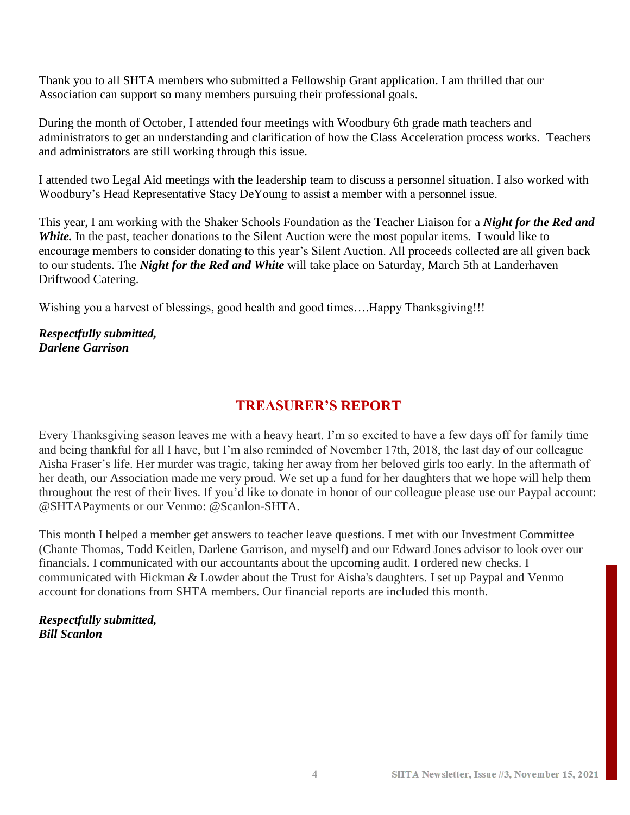Thank you to all SHTA members who submitted a Fellowship Grant application. I am thrilled that our Association can support so many members pursuing their professional goals.

During the month of October, I attended four meetings with Woodbury 6th grade math teachers and administrators to get an understanding and clarification of how the Class Acceleration process works. Teachers and administrators are still working through this issue.

I attended two Legal Aid meetings with the leadership team to discuss a personnel situation. I also worked with Woodbury's Head Representative Stacy DeYoung to assist a member with a personnel issue.

This year, I am working with the Shaker Schools Foundation as the Teacher Liaison for a *Night for the Red and White.* In the past, teacher donations to the Silent Auction were the most popular items. I would like to encourage members to consider donating to this year's Silent Auction. All proceeds collected are all given back to our students. The *Night for the Red and White* will take place on Saturday, March 5th at Landerhaven Driftwood Catering.

Wishing you a harvest of blessings, good health and good times….Happy Thanksgiving!!!

#### *Respectfully submitted, Darlene Garrison*

## **TREASURER'S REPORT**

Every Thanksgiving season leaves me with a heavy heart. I'm so excited to have a few days off for family time and being thankful for all I have, but I'm also reminded of November 17th, 2018, the last day of our colleague Aisha Fraser's life. Her murder was tragic, taking her away from her beloved girls too early. In the aftermath of her death, our Association made me very proud. We set up a fund for her daughters that we hope will help them throughout the rest of their lives. If you'd like to donate in honor of our colleague please use our Paypal account: @SHTAPayments or our Venmo: @Scanlon-SHTA.

This month I helped a member get answers to teacher leave questions. I met with our Investment Committee (Chante Thomas, Todd Keitlen, Darlene Garrison, and myself) and our Edward Jones advisor to look over our financials. I communicated with our accountants about the upcoming audit. I ordered new checks. I communicated with Hickman & Lowder about the Trust for Aisha's daughters. I set up Paypal and Venmo account for donations from SHTA members. Our financial reports are included this month.

*Respectfully submitted, Bill Scanlon*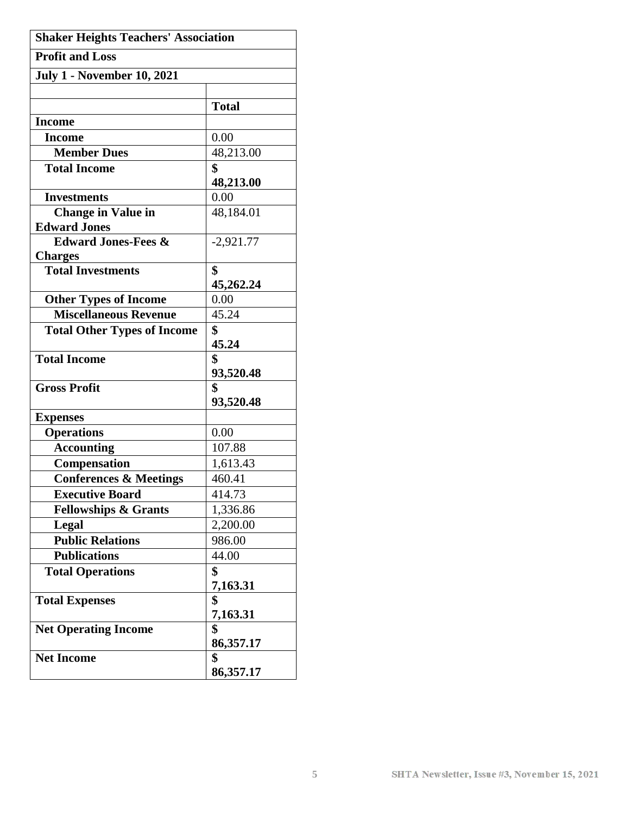| <b>Shaker Heights Teachers' Association</b> |                 |  |  |  |
|---------------------------------------------|-----------------|--|--|--|
| <b>Profit and Loss</b>                      |                 |  |  |  |
| <b>July 1 - November 10, 2021</b>           |                 |  |  |  |
|                                             |                 |  |  |  |
|                                             | <b>Total</b>    |  |  |  |
| <b>Income</b>                               |                 |  |  |  |
| <b>Income</b>                               | 0.00            |  |  |  |
| <b>Member Dues</b>                          | 48,213.00       |  |  |  |
| <b>Total Income</b>                         | \$              |  |  |  |
|                                             | 48,213.00       |  |  |  |
| <b>Investments</b>                          | 0.00            |  |  |  |
| <b>Change in Value in</b>                   | 48,184.01       |  |  |  |
| <b>Edward Jones</b>                         |                 |  |  |  |
| <b>Edward Jones-Fees &amp;</b>              | $-2,921.77$     |  |  |  |
| <b>Charges</b><br><b>Total Investments</b>  | \$              |  |  |  |
|                                             | 45,262.24       |  |  |  |
| <b>Other Types of Income</b>                | 0.00            |  |  |  |
| <b>Miscellaneous Revenue</b>                | 45.24           |  |  |  |
| <b>Total Other Types of Income</b>          | \$              |  |  |  |
|                                             | 45.24           |  |  |  |
| <b>Total Income</b>                         | \$              |  |  |  |
|                                             |                 |  |  |  |
|                                             |                 |  |  |  |
| <b>Gross Profit</b>                         | 93,520.48<br>\$ |  |  |  |
|                                             | 93,520.48       |  |  |  |
| <b>Expenses</b>                             |                 |  |  |  |
| <b>Operations</b>                           | 0.00            |  |  |  |
| <b>Accounting</b>                           | 107.88          |  |  |  |
| <b>Compensation</b>                         | 1,613.43        |  |  |  |
| <b>Conferences &amp; Meetings</b>           | 460.41          |  |  |  |
| <b>Executive Board</b>                      | 414.73          |  |  |  |
| <b>Fellowships &amp; Grants</b>             | 1,336.86        |  |  |  |
| Legal                                       | 2,200.00        |  |  |  |
| <b>Public Relations</b>                     | 986.00          |  |  |  |
| <b>Publications</b>                         | 44.00           |  |  |  |
| <b>Total Operations</b>                     | \$              |  |  |  |
|                                             | 7,163.31        |  |  |  |
| <b>Total Expenses</b>                       | \$              |  |  |  |
|                                             | 7,163.31        |  |  |  |
| <b>Net Operating Income</b>                 | \$              |  |  |  |
|                                             | 86,357.17       |  |  |  |
| <b>Net Income</b>                           | \$<br>86,357.17 |  |  |  |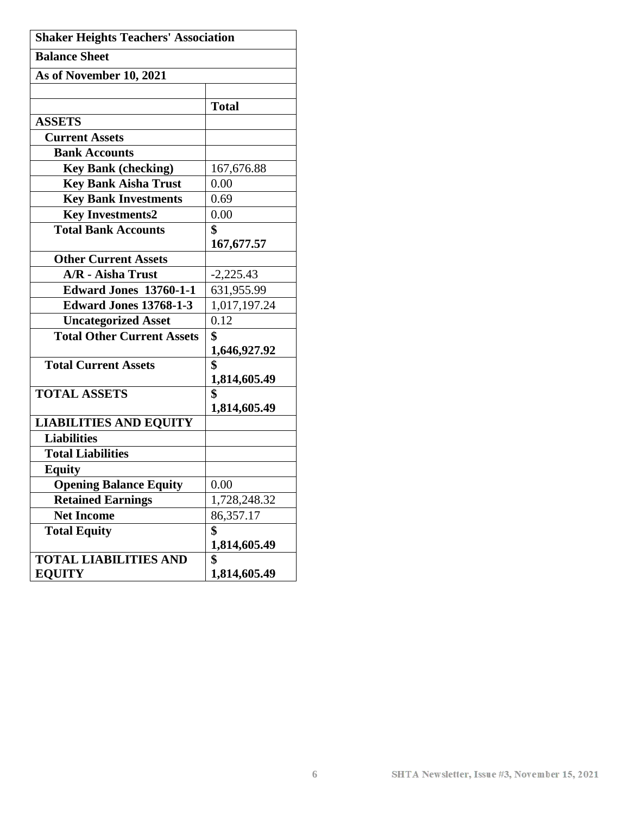| <b>Shaker Heights Teachers' Association</b> |              |  |
|---------------------------------------------|--------------|--|
| <b>Balance Sheet</b>                        |              |  |
| As of November 10, 2021                     |              |  |
|                                             |              |  |
|                                             | <b>Total</b> |  |
| <b>ASSETS</b>                               |              |  |
| <b>Current Assets</b>                       |              |  |
| <b>Bank Accounts</b>                        |              |  |
| <b>Key Bank (checking)</b>                  | 167,676.88   |  |
| <b>Key Bank Aisha Trust</b>                 | 0.00         |  |
| <b>Key Bank Investments</b>                 | 0.69         |  |
| <b>Key Investments2</b>                     | 0.00         |  |
| <b>Total Bank Accounts</b>                  | \$           |  |
|                                             | 167,677.57   |  |
| <b>Other Current Assets</b>                 |              |  |
| <b>A/R</b> - Aisha Trust                    | $-2,225.43$  |  |
| <b>Edward Jones 13760-1-1</b>               | 631,955.99   |  |
| <b>Edward Jones 13768-1-3</b>               | 1,017,197.24 |  |
| <b>Uncategorized Asset</b>                  | 0.12         |  |
| <b>Total Other Current Assets</b>           | \$           |  |
|                                             | 1,646,927.92 |  |
| <b>Total Current Assets</b>                 | \$           |  |
|                                             | 1,814,605.49 |  |
| <b>TOTAL ASSETS</b>                         | \$           |  |
|                                             | 1,814,605.49 |  |
| <b>LIABILITIES AND EQUITY</b>               |              |  |
| <b>Liabilities</b>                          |              |  |
| <b>Total Liabilities</b>                    |              |  |
| <b>Equity</b>                               |              |  |
| <b>Opening Balance Equity</b>               | 0.00         |  |
| <b>Retained Earnings</b>                    | 1,728,248.32 |  |
| <b>Net Income</b>                           | 86,357.17    |  |
| <b>Total Equity</b>                         | \$           |  |
|                                             | 1,814,605.49 |  |
| <b>TOTAL LIABILITIES AND</b>                | \$           |  |
| <b>EQUITY</b>                               | 1,814,605.49 |  |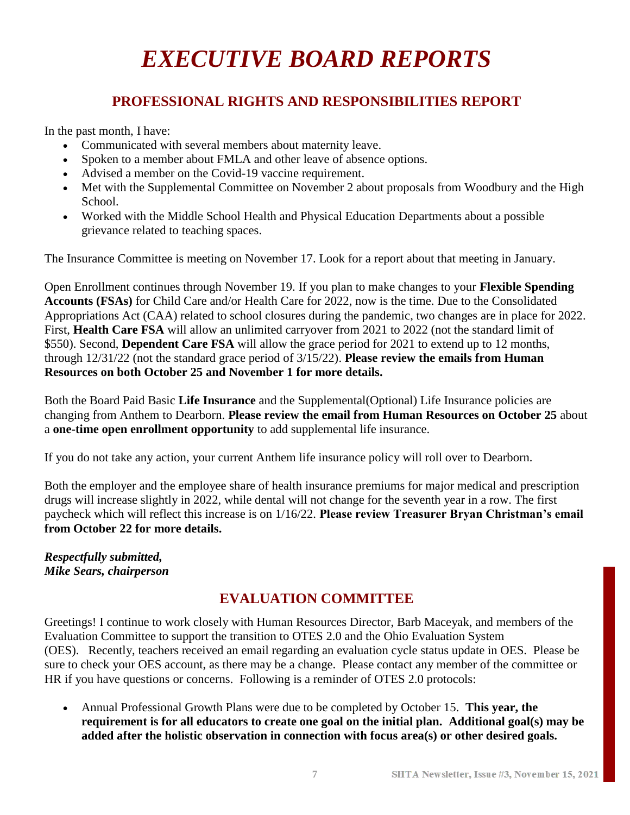## *EXECUTIVE BOARD REPORTS*

## **PROFESSIONAL RIGHTS AND RESPONSIBILITIES REPORT**

In the past month, I have:

- Communicated with several members about maternity leave.
- Spoken to a member about FMLA and other leave of absence options.
- Advised a member on the Covid-19 vaccine requirement.
- Met with the Supplemental Committee on November 2 about proposals from Woodbury and the High School.
- Worked with the Middle School Health and Physical Education Departments about a possible grievance related to teaching spaces.

The Insurance Committee is meeting on November 17. Look for a report about that meeting in January.

Open Enrollment continues through November 19. If you plan to make changes to your **Flexible Spending Accounts (FSAs)** for Child Care and/or Health Care for 2022, now is the time. Due to the Consolidated Appropriations Act (CAA) related to school closures during the pandemic, two changes are in place for 2022. First, **Health Care FSA** will allow an unlimited carryover from 2021 to 2022 (not the standard limit of \$550). Second, **Dependent Care FSA** will allow the grace period for 2021 to extend up to 12 months, through 12/31/22 (not the standard grace period of 3/15/22). **Please review the emails from Human Resources on both October 25 and November 1 for more details.**

Both the Board Paid Basic **Life Insurance** and the Supplemental(Optional) Life Insurance policies are changing from Anthem to Dearborn. **Please review the email from Human Resources on October 25** about a **one-time open enrollment opportunity** to add supplemental life insurance.

If you do not take any action, your current Anthem life insurance policy will roll over to Dearborn.

Both the employer and the employee share of health insurance premiums for major medical and prescription drugs will increase slightly in 2022, while dental will not change for the seventh year in a row. The first paycheck which will reflect this increase is on 1/16/22. **Please review Treasurer Bryan Christman's email from October 22 for more details.**

#### *Respectfully submitted, Mike Sears, chairperson*

## **EVALUATION COMMITTEE**

Greetings! I continue to work closely with Human Resources Director, Barb Maceyak, and members of the Evaluation Committee to support the transition to OTES 2.0 and the Ohio Evaluation System (OES). Recently, teachers received an email regarding an evaluation cycle status update in OES. Please be sure to check your OES account, as there may be a change. Please contact any member of the committee or HR if you have questions or concerns. Following is a reminder of OTES 2.0 protocols:

• Annual Professional Growth Plans were due to be completed by October 15. **This year, the requirement is for all educators to create one goal on the initial plan. Additional goal(s) may be added after the holistic observation in connection with focus area(s) or other desired goals.**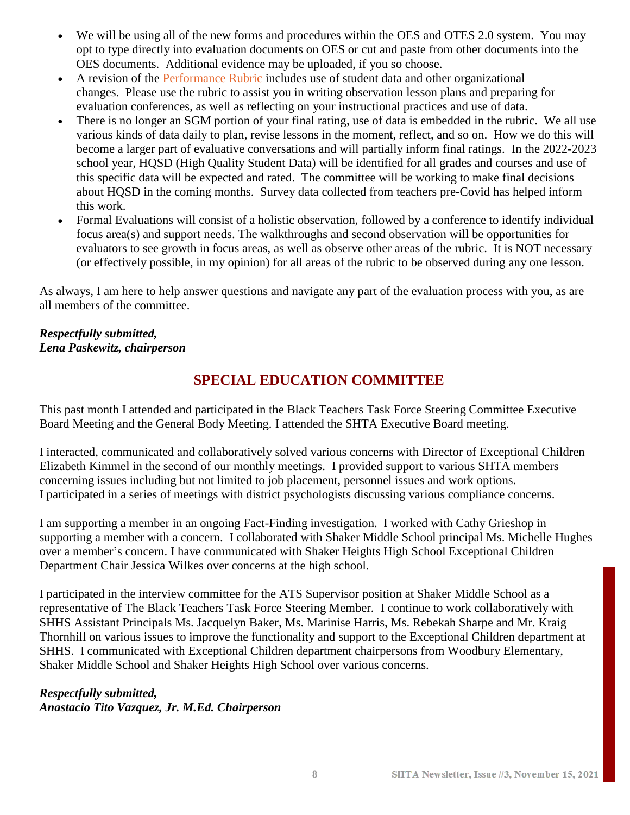- We will be using all of the new forms and procedures within the OES and OTES 2.0 system. You may opt to type directly into evaluation documents on OES or cut and paste from other documents into the OES documents. Additional evidence may be uploaded, if you so choose.
- A revision of the [Performance Rubric](http://education.ohio.gov/getattachment/Topics/Teaching/Educator-Evaluation-System/Ohio-s-Teacher-Evaluation-System/OTES-2-0/Ohio-Teacher-Performance-Evaluation-Rubric-OTES-2-0.pdf.aspx?lang=en-US) includes use of student data and other organizational changes. Please use the rubric to assist you in writing observation lesson plans and preparing for evaluation conferences, as well as reflecting on your instructional practices and use of data.
- There is no longer an SGM portion of your final rating, use of data is embedded in the rubric. We all use various kinds of data daily to plan, revise lessons in the moment, reflect, and so on. How we do this will become a larger part of evaluative conversations and will partially inform final ratings. In the 2022-2023 school year, HQSD (High Quality Student Data) will be identified for all grades and courses and use of this specific data will be expected and rated. The committee will be working to make final decisions about HQSD in the coming months. Survey data collected from teachers pre-Covid has helped inform this work.
- Formal Evaluations will consist of a holistic observation, followed by a conference to identify individual focus area(s) and support needs. The walkthroughs and second observation will be opportunities for evaluators to see growth in focus areas, as well as observe other areas of the rubric. It is NOT necessary (or effectively possible, in my opinion) for all areas of the rubric to be observed during any one lesson.

As always, I am here to help answer questions and navigate any part of the evaluation process with you, as are all members of the committee.

#### *Respectfully submitted, Lena Paskewitz, chairperson*

## **SPECIAL EDUCATION COMMITTEE**

This past month I attended and participated in the Black Teachers Task Force Steering Committee Executive Board Meeting and the General Body Meeting. I attended the SHTA Executive Board meeting.

I interacted, communicated and collaboratively solved various concerns with Director of Exceptional Children Elizabeth Kimmel in the second of our monthly meetings. I provided support to various SHTA members concerning issues including but not limited to job placement, personnel issues and work options. I participated in a series of meetings with district psychologists discussing various compliance concerns.

I am supporting a member in an ongoing Fact-Finding investigation. I worked with Cathy Grieshop in supporting a member with a concern. I collaborated with Shaker Middle School principal Ms. Michelle Hughes over a member's concern. I have communicated with Shaker Heights High School Exceptional Children Department Chair Jessica Wilkes over concerns at the high school.

I participated in the interview committee for the ATS Supervisor position at Shaker Middle School as a representative of The Black Teachers Task Force Steering Member. I continue to work collaboratively with SHHS Assistant Principals Ms. Jacquelyn Baker, Ms. Marinise Harris, Ms. Rebekah Sharpe and Mr. Kraig Thornhill on various issues to improve the functionality and support to the Exceptional Children department at SHHS. I communicated with Exceptional Children department chairpersons from Woodbury Elementary, Shaker Middle School and Shaker Heights High School over various concerns.

#### *Respectfully submitted, Anastacio Tito Vazquez, Jr. M.Ed. Chairperson*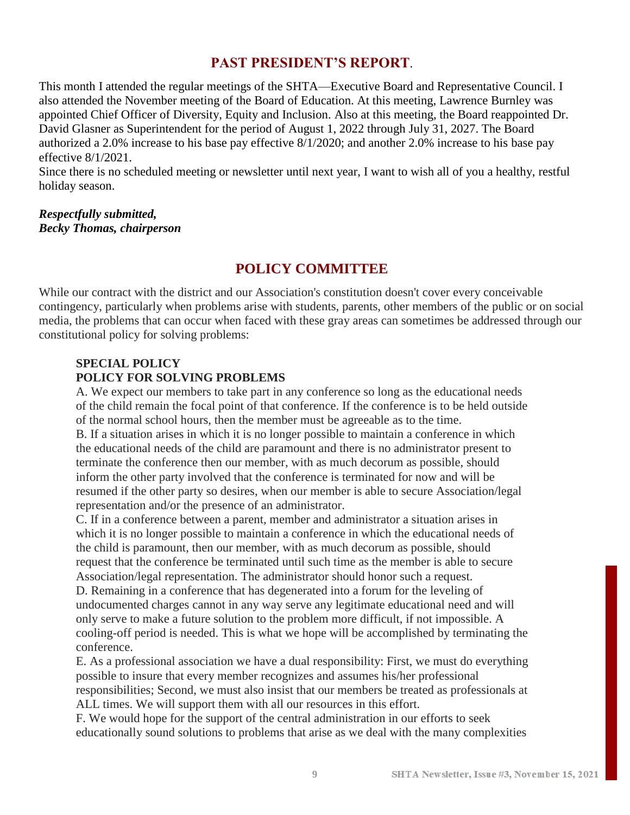### **PAST PRESIDENT'S REPORT**.

This month I attended the regular meetings of the SHTA—Executive Board and Representative Council. I also attended the November meeting of the Board of Education. At this meeting, Lawrence Burnley was appointed Chief Officer of Diversity, Equity and Inclusion. Also at this meeting, the Board reappointed Dr. David Glasner as Superintendent for the period of August 1, 2022 through July 31, 2027. The Board authorized a 2.0% increase to his base pay effective 8/1/2020; and another 2.0% increase to his base pay effective 8/1/2021.

Since there is no scheduled meeting or newsletter until next year, I want to wish all of you a healthy, restful holiday season.

#### *Respectfully submitted, Becky Thomas, chairperson*

## **POLICY COMMITTEE**

While our contract with the district and our Association's constitution doesn't cover every conceivable contingency, particularly when problems arise with students, parents, other members of the public or on social media, the problems that can occur when faced with these gray areas can sometimes be addressed through our constitutional policy for solving problems:

#### **SPECIAL POLICY POLICY FOR SOLVING PROBLEMS**

A. We expect our members to take part in any conference so long as the educational needs of the child remain the focal point of that conference. If the conference is to be held outside of the normal school hours, then the member must be agreeable as to the time.

B. If a situation arises in which it is no longer possible to maintain a conference in which the educational needs of the child are paramount and there is no administrator present to terminate the conference then our member, with as much decorum as possible, should inform the other party involved that the conference is terminated for now and will be resumed if the other party so desires, when our member is able to secure Association/legal representation and/or the presence of an administrator.

C. If in a conference between a parent, member and administrator a situation arises in which it is no longer possible to maintain a conference in which the educational needs of the child is paramount, then our member, with as much decorum as possible, should request that the conference be terminated until such time as the member is able to secure Association/legal representation. The administrator should honor such a request.

D. Remaining in a conference that has degenerated into a forum for the leveling of undocumented charges cannot in any way serve any legitimate educational need and will only serve to make a future solution to the problem more difficult, if not impossible. A cooling-off period is needed. This is what we hope will be accomplished by terminating the conference.

E. As a professional association we have a dual responsibility: First, we must do everything possible to insure that every member recognizes and assumes his/her professional responsibilities; Second, we must also insist that our members be treated as professionals at ALL times. We will support them with all our resources in this effort.

F. We would hope for the support of the central administration in our efforts to seek educationally sound solutions to problems that arise as we deal with the many complexities

**9**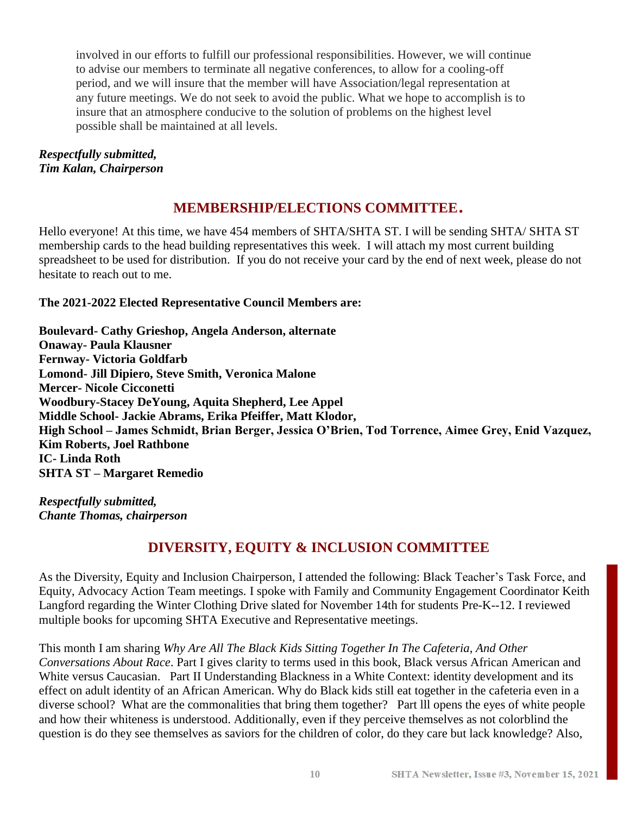involved in our efforts to fulfill our professional responsibilities. However, we will continue to advise our members to terminate all negative conferences, to allow for a cooling-off period, and we will insure that the member will have Association/legal representation at any future meetings. We do not seek to avoid the public. What we hope to accomplish is to insure that an atmosphere conducive to the solution of problems on the highest level possible shall be maintained at all levels.

#### *Respectfully submitted, Tim Kalan, Chairperson*

## **MEMBERSHIP/ELECTIONS COMMITTEE**.

Hello everyone! At this time, we have 454 members of SHTA/SHTA ST. I will be sending SHTA/ SHTA ST membership cards to the head building representatives this week. I will attach my most current building spreadsheet to be used for distribution. If you do not receive your card by the end of next week, please do not hesitate to reach out to me.

#### **The 2021-2022 Elected Representative Council Members are:**

**Boulevard- Cathy Grieshop, Angela Anderson, alternate Onaway- Paula Klausner Fernway- Victoria Goldfarb Lomond- Jill Dipiero, Steve Smith, Veronica Malone Mercer- Nicole Cicconetti Woodbury-Stacey DeYoung, Aquita Shepherd, Lee Appel Middle School- Jackie Abrams, Erika Pfeiffer, Matt Klodor, High School – James Schmidt, Brian Berger, Jessica O'Brien, Tod Torrence, Aimee Grey, Enid Vazquez, Kim Roberts, Joel Rathbone IC- Linda Roth SHTA ST – Margaret Remedio**

*Respectfully submitted, Chante Thomas, chairperson*

## **DIVERSITY, EQUITY & INCLUSION COMMITTEE**

As the Diversity, Equity and Inclusion Chairperson, I attended the following: Black Teacher's Task Force, and Equity, Advocacy Action Team meetings. I spoke with Family and Community Engagement Coordinator [Keith](mailto:langford_k@shaker.org)  [Langford](mailto:langford_k@shaker.org) regarding the Winter Clothing Drive slated for November 14th for students Pre-K--12. I reviewed multiple books for upcoming SHTA Executive and Representative meetings.

This month I am sharing *Why Are All The Black Kids Sitting Together In The Cafeteria, And Other Conversations About Race*. Part I gives clarity to terms used in this book, Black versus African American and White versus Caucasian. Part II Understanding Blackness in a White Context: identity development and its effect on adult identity of an African American. Why do Black kids still eat together in the cafeteria even in a diverse school? What are the commonalities that bring them together? Part lll opens the eyes of white people and how their whiteness is understood. Additionally, even if they perceive themselves as not colorblind the question is do they see themselves as saviors for the children of color, do they care but lack knowledge? Also,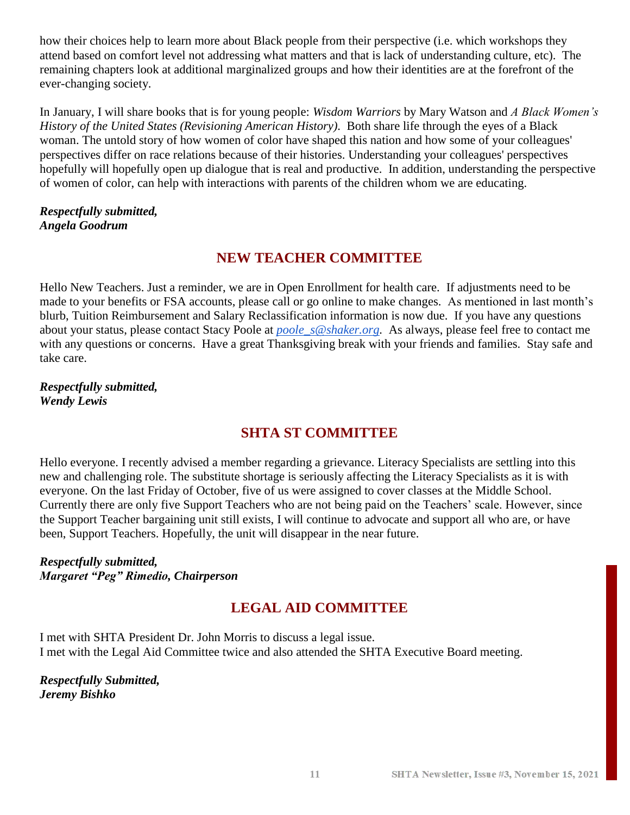how their choices help to learn more about Black people from their perspective (i.e. which workshops they attend based on comfort level not addressing what matters and that is lack of understanding culture, etc). The remaining chapters look at additional marginalized groups and how their identities are at the forefront of the ever-changing society.

In January, I will share books that is for young people: *Wisdom Warriors* by Mary Watson and *A Black Women's History of the United States (Revisioning American History)*. Both share life through the eyes of a Black woman. The untold story of how women of color have shaped this nation and how some of your colleagues' perspectives differ on race relations because of their histories. Understanding your colleagues' perspectives hopefully will hopefully open up dialogue that is real and productive. In addition, understanding the perspective of women of color, can help with interactions with parents of the children whom we are educating.

#### *Respectfully submitted, Angela Goodrum*

### **NEW TEACHER COMMITTEE**

Hello New Teachers. Just a reminder, we are in Open Enrollment for health care. If adjustments need to be made to your benefits or FSA accounts, please call or go online to make changes. As mentioned in last month's blurb, Tuition Reimbursement and Salary Reclassification information is now due. If you have any questions about your status, please contact [Stacy Poole](mailto:poole_s@shaker.org) at *[poole\\_s@shaker.org.](mailto:poole_s@shaker.org)* As always, please feel free to contact me with any questions or concerns. Have a great Thanksgiving break with your friends and families. Stay safe and take care.

*Respectfully submitted, Wendy Lewis*

### **SHTA ST COMMITTEE**

Hello everyone. I recently advised a member regarding a grievance. Literacy Specialists are settling into this new and challenging role. The substitute shortage is seriously affecting the Literacy Specialists as it is with everyone. On the last Friday of October, five of us were assigned to cover classes at the Middle School. Currently there are only five Support Teachers who are not being paid on the Teachers' scale. However, since the Support Teacher bargaining unit still exists, I will continue to advocate and support all who are, or have been, Support Teachers. Hopefully, the unit will disappear in the near future.

*Respectfully submitted, Margaret "Peg" Rimedio, Chairperson*

## **LEGAL AID COMMITTEE**

I met with SHTA President Dr. John Morris to discuss a legal issue. I met with the Legal Aid Committee twice and also attended the SHTA Executive Board meeting.

*Respectfully Submitted, Jeremy Bishko*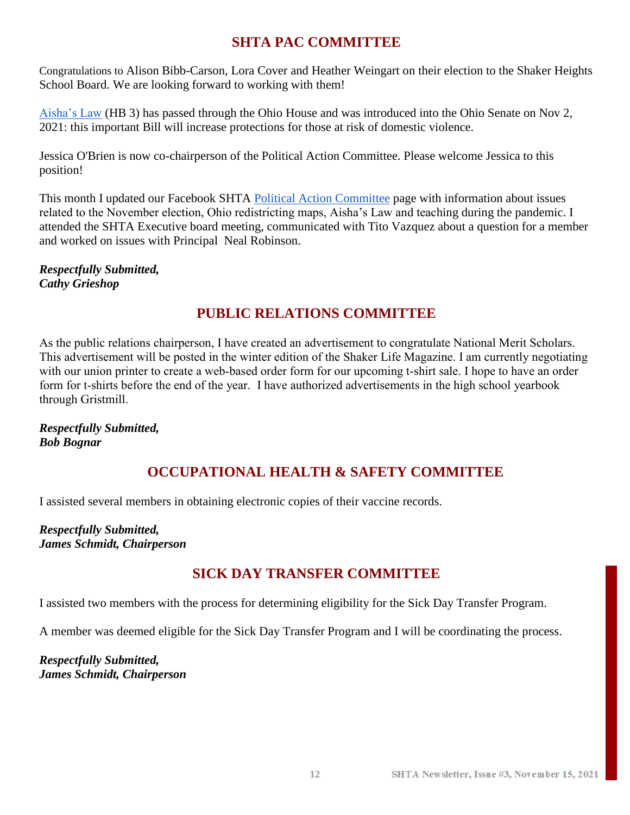## **SHTA PAC COMMITTEE**

Congratulations to Alison Bibb-Carson, Lora Cover and Heather Weingart on their election to the Shaker Heights School Board. We are looking forward to working with them!

[Aisha's Law](https://ohiohouse.gov/members/janine-r-boyd/news/aishas-law-legislation-to-protect-those-at-risk-of-domestic-violence-overwhelmingly-passes-ohio-house-107561) (HB 3) has passed through the Ohio House and was introduced into the Ohio Senate on Nov 2, 2021: this important Bill will increase protections for those at risk of domestic violence.

Jessica O'Brien is now co-chairperson of the Political Action Committee. Please welcome Jessica to this position!

This month I updated our Facebook SHTA [Political Action Committee](https://www.facebook.com/groups/218943172136501) page with information about issues related to the November election, Ohio redistricting maps, Aisha's Law and teaching during the pandemic. I attended the SHTA Executive board meeting, communicated with Tito Vazquez about a question for a member and worked on issues with Principal [Neal Robinson.](mailto:robinson_n@shaker.org)

*Respectfully Submitted, Cathy Grieshop*

## **PUBLIC RELATIONS COMMITTEE**

As the public relations chairperson, I have created an advertisement to congratulate National Merit Scholars. This advertisement will be posted in the winter edition of the Shaker Life Magazine. I am currently negotiating with our union printer to create a web-based order form for our upcoming t-shirt sale. I hope to have an order form for t-shirts before the end of the year. I have authorized advertisements in the high school yearbook through Gristmill.

*Respectfully Submitted, Bob Bognar*

## **OCCUPATIONAL HEALTH & SAFETY COMMITTEE**

I assisted several members in obtaining electronic copies of their vaccine records.

*Respectfully Submitted, James Schmidt, Chairperson*

## **SICK DAY TRANSFER COMMITTEE**

I assisted two members with the process for determining eligibility for the Sick Day Transfer Program.

A member was deemed eligible for the Sick Day Transfer Program and I will be coordinating the process.

*Respectfully Submitted, James Schmidt, Chairperson*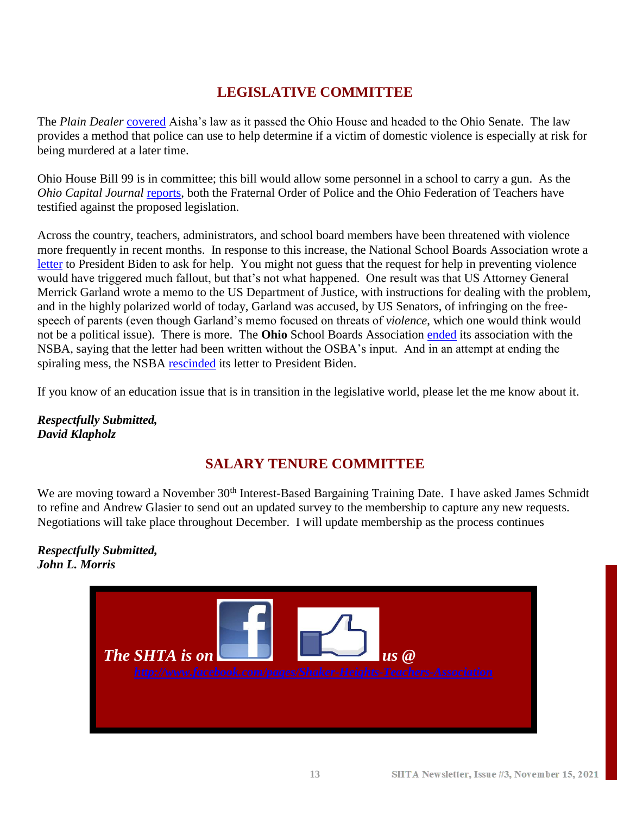## **LEGISLATIVE COMMITTEE**

The *Plain Dealer* [covered](https://www.cleveland.com/open/2021/10/ohio-house-passes-aishas-law-named-after-beloved-shaker-heights-teacher-who-was-murdered-by-her-ex-husband.html) Aisha's law as it passed the Ohio House and headed to the Ohio Senate. The law provides a method that police can use to help determine if a victim of domestic violence is especially at risk for being murdered at a later time.

Ohio House Bill 99 is in committee; this bill would allow some personnel in a school to carry a gun. As the *Ohio Capital Journal* [reports,](https://ohiocapitaljournal.com/2021/04/16/police-teachers-org-urge-more-training-for-armed-teachers/) both the Fraternal Order of Police and the Ohio Federation of Teachers have testified against the proposed legislation.

Across the country, teachers, administrators, and school board members have been threatened with violence more frequently in recent months. In response to this increase, the National School Boards Association wrote a [letter](https://nsba.org/-/media/NSBA/File/nsba-letter-to-president-biden-concerning-threats-to-public-schools-and-school-board-members-92921.pdf) to President Biden to ask for help. You might not guess that the request for help in preventing violence would have triggered much fallout, but that's not what happened. One result was that US Attorney General Merrick Garland wrote a memo to the US Department of Justice, with instructions for dealing with the problem, and in the highly polarized world of today, Garland was accused, by US Senators, of infringing on the freespeech of parents (even though Garland's memo focused on threats of *violence*, which one would think would not be a political issue). There is more. The **Ohio** School Boards Association [ended](https://ohiocapitaljournal.com/2021/10/27/ohio-school-boards-association-ends-affiliation-with-national-group-over-request-to-probe-threats/) its association with the NSBA, saying that the letter had been written without the OSBA's input. And in an attempt at ending the spiraling mess, the NSBA [rescinded](https://www.edweek.org/policy-politics/national-school-board-groups-apology-for-domestic-terrorism-letter-may-not-quell-uproar/2021/10) its letter to President Biden.

If you know of an education issue that is in transition in the legislative world, please let the me know about it.

*Respectfully Submitted, David Klapholz*

## **SALARY TENURE COMMITTEE**

We are moving toward a November 30<sup>th</sup> Interest-Based Bargaining Training Date. I have asked James Schmidt to refine and Andrew Glasier to send out an updated survey to the membership to capture any new requests. Negotiations will take place throughout December. I will update membership as the process continues

*Respectfully Submitted, John L. Morris*

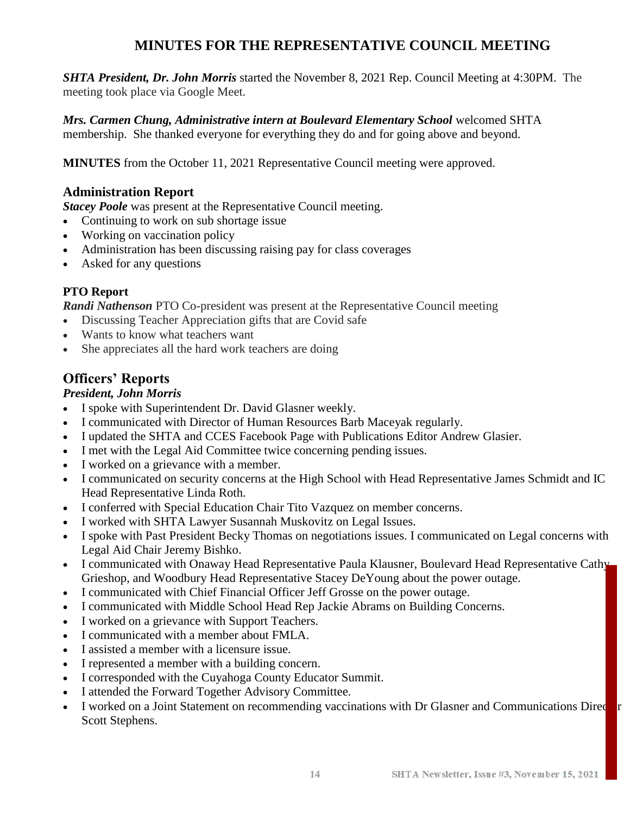## **MINUTES FOR THE REPRESENTATIVE COUNCIL MEETING**

*SHTA President, Dr. John Morris* started the November 8, 2021 Rep. Council Meeting at 4:30PM. The meeting took place via Google Meet.

*Mrs. Carmen Chung, Administrative intern at Boulevard Elementary School* welcomed SHTA membership. She thanked everyone for everything they do and for going above and beyond.

**MINUTES** from the October 11, 2021 Representative Council meeting were approved.

#### **Administration Report**

*Stacey Poole* was present at the Representative Council meeting.

- Continuing to work on sub shortage issue
- Working on vaccination policy
- Administration has been discussing raising pay for class coverages
- Asked for any questions

#### **PTO Report**

*Randi Nathenson* PTO Co-president was present at the Representative Council meeting

- Discussing Teacher Appreciation gifts that are Covid safe
- Wants to know what teachers want
- She appreciates all the hard work teachers are doing

## **Officers' Reports**

#### *President, John Morris*

- I spoke with Superintendent Dr. David Glasner weekly.
- I communicated with Director of Human Resources Barb Maceyak regularly.
- I updated the SHTA and CCES Facebook Page with Publications Editor Andrew Glasier.
- I met with the Legal Aid Committee twice concerning pending issues.
- I worked on a grievance with a member.
- I communicated on security concerns at the High School with Head Representative James Schmidt and IC Head Representative Linda Roth.
- I conferred with Special Education Chair Tito Vazquez on member concerns.
- I worked with SHTA Lawyer Susannah Muskovitz on Legal Issues.
- I spoke with Past President Becky Thomas on negotiations issues. I communicated on Legal concerns with Legal Aid Chair Jeremy Bishko.
- I communicated with Onaway Head Representative Paula Klausner, Boulevard Head Representative Cathy Grieshop, and Woodbury Head Representative Stacey DeYoung about the power outage.
- I communicated with Chief Financial Officer Jeff Grosse on the power outage.
- I communicated with Middle School Head Rep Jackie Abrams on Building Concerns.
- I worked on a grievance with Support Teachers.
- I communicated with a member about FMLA.
- I assisted a member with a licensure issue.
- I represented a member with a building concern.
- I corresponded with the Cuyahoga County Educator Summit.
- I attended the Forward Together Advisory Committee.
- I worked on a Joint Statement on recommending vaccinations with Dr Glasner and Communications Directors Scott Stephens.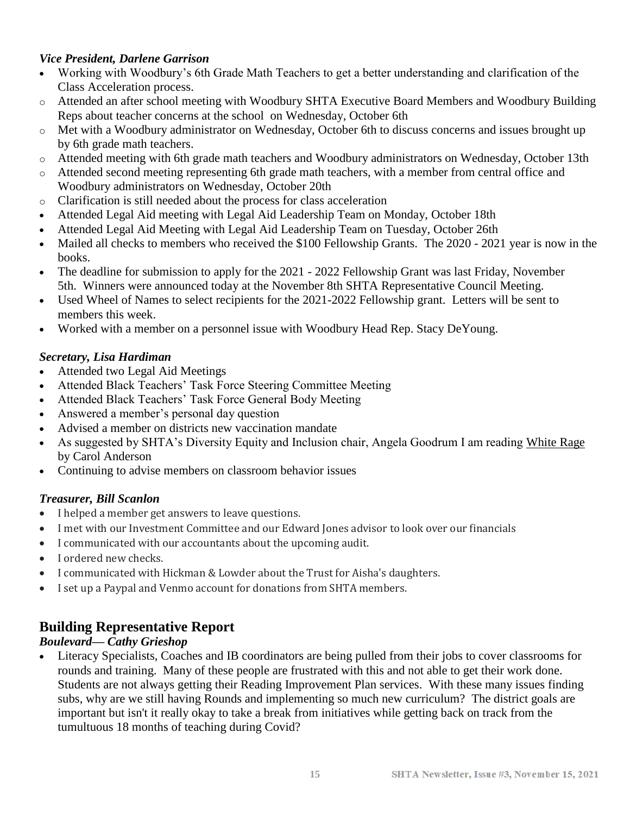#### *Vice President, Darlene Garrison*

- Working with Woodbury's 6th Grade Math Teachers to get a better understanding and clarification of the Class Acceleration process.
- o Attended an after school meeting with Woodbury SHTA Executive Board Members and Woodbury Building Reps about teacher concerns at the school on Wednesday, October 6th
- o Met with a Woodbury administrator on Wednesday, October 6th to discuss concerns and issues brought up by 6th grade math teachers.
- o Attended meeting with 6th grade math teachers and Woodbury administrators on Wednesday, October 13th
- o Attended second meeting representing 6th grade math teachers, with a member from central office and Woodbury administrators on Wednesday, October 20th
- o Clarification is still needed about the process for class acceleration
- Attended Legal Aid meeting with Legal Aid Leadership Team on Monday, October 18th
- Attended Legal Aid Meeting with Legal Aid Leadership Team on Tuesday, October 26th
- Mailed all checks to members who received the \$100 Fellowship Grants. The 2020 2021 year is now in the books.
- The deadline for submission to apply for the 2021 2022 Fellowship Grant was last Friday, November 5th. Winners were announced today at the November 8th SHTA Representative Council Meeting.
- Used Wheel of Names to select recipients for the 2021-2022 Fellowship grant. Letters will be sent to members this week.
- Worked with a member on a personnel issue with Woodbury Head Rep. Stacy DeYoung.

#### *Secretary, Lisa Hardiman*

- Attended two Legal Aid Meetings
- Attended Black Teachers' Task Force Steering Committee Meeting
- Attended Black Teachers' Task Force General Body Meeting
- Answered a member's personal day question
- Advised a member on districts new vaccination mandate
- As suggested by SHTA's Diversity Equity and Inclusion chair, Angela Goodrum I am reading White Rage by Carol Anderson
- Continuing to advise members on classroom behavior issues

#### *Treasurer, Bill Scanlon*

- I helped a member get answers to leave questions.
- I met with our Investment Committee and our Edward Jones advisor to look over our financials
- I communicated with our accountants about the upcoming audit.
- I ordered new checks.
- I communicated with Hickman & Lowder about the Trust for Aisha's daughters.
- I set up a Paypal and Venmo account for donations from SHTA members.

#### **Building Representative Report**

#### *Boulevard— Cathy Grieshop*

• Literacy Specialists, Coaches and IB coordinators are being pulled from their jobs to cover classrooms for rounds and training. Many of these people are frustrated with this and not able to get their work done. Students are not always getting their Reading Improvement Plan services. With these many issues finding subs, why are we still having Rounds and implementing so much new curriculum? The district goals are important but isn't it really okay to take a break from initiatives while getting back on track from the tumultuous 18 months of teaching during Covid?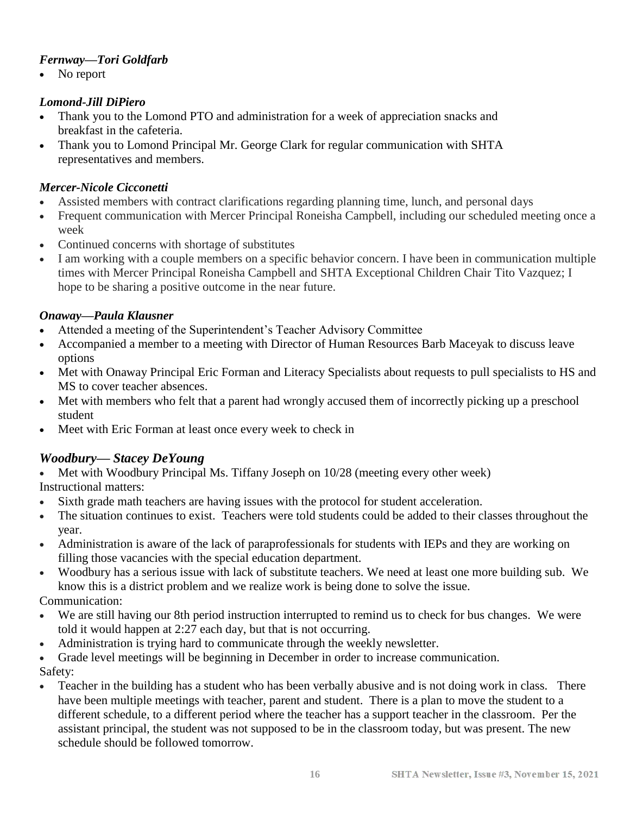#### *Fernway—Tori Goldfarb*

No report

#### *Lomond-Jill DiPiero*

- Thank you to the Lomond PTO and administration for a week of appreciation snacks and breakfast in the cafeteria.
- Thank you to Lomond Principal Mr. George Clark for regular communication with SHTA representatives and members.

#### *Mercer-Nicole Cicconetti*

- Assisted members with contract clarifications regarding planning time, lunch, and personal days
- Frequent communication with Mercer Principal Roneisha Campbell, including our scheduled meeting once a week
- Continued concerns with shortage of substitutes
- I am working with a couple members on a specific behavior concern. I have been in communication multiple times with Mercer Principal Roneisha Campbell and SHTA Exceptional Children Chair Tito Vazquez; I hope to be sharing a positive outcome in the near future.

#### *Onaway—Paula Klausner*

- Attended a meeting of the Superintendent's Teacher Advisory Committee
- Accompanied a member to a meeting with Director of Human Resources Barb Maceyak to discuss leave options
- Met with Onaway Principal Eric Forman and Literacy Specialists about requests to pull specialists to HS and MS to cover teacher absences.
- Met with members who felt that a parent had wrongly accused them of incorrectly picking up a preschool student
- Meet with Eric Forman at least once every week to check in

#### *Woodbury— Stacey DeYoung*

• Met with Woodbury Principal Ms. Tiffany Joseph on 10/28 (meeting every other week) Instructional matters:

- Sixth grade math teachers are having issues with the protocol for student acceleration.
- The situation continues to exist. Teachers were told students could be added to their classes throughout the year.
- Administration is aware of the lack of paraprofessionals for students with IEPs and they are working on filling those vacancies with the special education department.
- Woodbury has a serious issue with lack of substitute teachers. We need at least one more building sub. We know this is a district problem and we realize work is being done to solve the issue.

Communication:

- We are still having our 8th period instruction interrupted to remind us to check for bus changes. We were told it would happen at 2:27 each day, but that is not occurring.
- Administration is trying hard to communicate through the weekly newsletter.
- Grade level meetings will be beginning in December in order to increase communication.

Safety:

• Teacher in the building has a student who has been verbally abusive and is not doing work in class. There have been multiple meetings with teacher, parent and student. There is a plan to move the student to a different schedule, to a different period where the teacher has a support teacher in the classroom. Per the assistant principal, the student was not supposed to be in the classroom today, but was present. The new schedule should be followed tomorrow.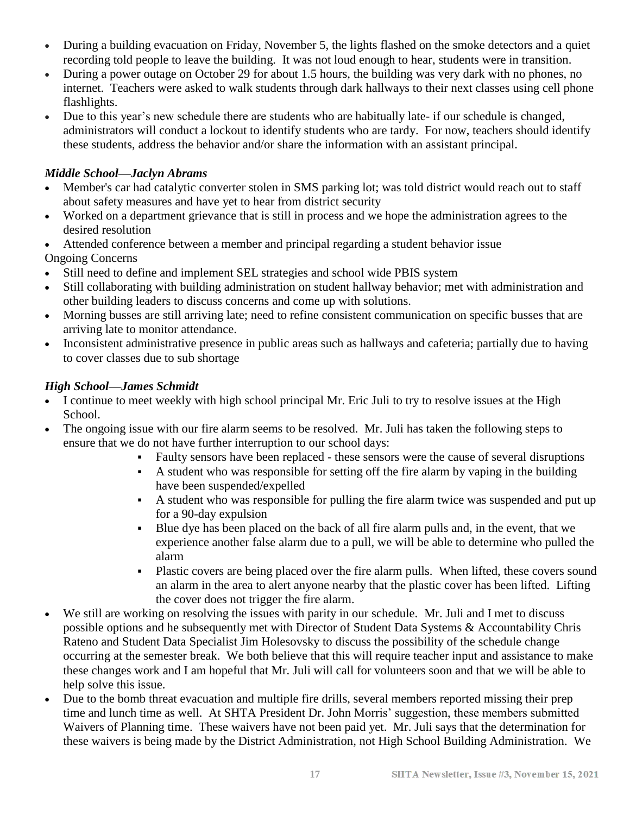- During a building evacuation on Friday, November 5, the lights flashed on the smoke detectors and a quiet recording told people to leave the building. It was not loud enough to hear, students were in transition.
- During a power outage on October 29 for about 1.5 hours, the building was very dark with no phones, no internet. Teachers were asked to walk students through dark hallways to their next classes using cell phone flashlights.
- Due to this year's new schedule there are students who are habitually late- if our schedule is changed, administrators will conduct a lockout to identify students who are tardy. For now, teachers should identify these students, address the behavior and/or share the information with an assistant principal.

#### *Middle School—Jaclyn Abrams*

- Member's car had catalytic converter stolen in SMS parking lot; was told district would reach out to staff about safety measures and have yet to hear from district security
- Worked on a department grievance that is still in process and we hope the administration agrees to the desired resolution
- Attended conference between a member and principal regarding a student behavior issue Ongoing Concerns
- Still need to define and implement SEL strategies and school wide PBIS system
- Still collaborating with building administration on student hallway behavior; met with administration and other building leaders to discuss concerns and come up with solutions.
- Morning busses are still arriving late; need to refine consistent communication on specific busses that are arriving late to monitor attendance.
- Inconsistent administrative presence in public areas such as hallways and cafeteria; partially due to having to cover classes due to sub shortage

#### *High School—James Schmidt*

- I continue to meet weekly with high school principal Mr. Eric Juli to try to resolve issues at the High School.
- The ongoing issue with our fire alarm seems to be resolved. Mr. Juli has taken the following steps to ensure that we do not have further interruption to our school days:
	- Faulty sensors have been replaced these sensors were the cause of several disruptions
	- A student who was responsible for setting off the fire alarm by vaping in the building have been suspended/expelled
	- A student who was responsible for pulling the fire alarm twice was suspended and put up for a 90-day expulsion
	- Blue dye has been placed on the back of all fire alarm pulls and, in the event, that we experience another false alarm due to a pull, we will be able to determine who pulled the alarm
	- Plastic covers are being placed over the fire alarm pulls. When lifted, these covers sound an alarm in the area to alert anyone nearby that the plastic cover has been lifted. Lifting the cover does not trigger the fire alarm.
- We still are working on resolving the issues with parity in our schedule. Mr. Juli and I met to discuss possible options and he subsequently met with Director of Student Data Systems & Accountability Chris Rateno and Student Data Specialist Jim Holesovsky to discuss the possibility of the schedule change occurring at the semester break. We both believe that this will require teacher input and assistance to make these changes work and I am hopeful that Mr. Juli will call for volunteers soon and that we will be able to help solve this issue.
- Due to the bomb threat evacuation and multiple fire drills, several members reported missing their prep time and lunch time as well. At SHTA President Dr. John Morris' suggestion, these members submitted Waivers of Planning time. These waivers have not been paid yet. Mr. Juli says that the determination for these waivers is being made by the District Administration, not High School Building Administration. We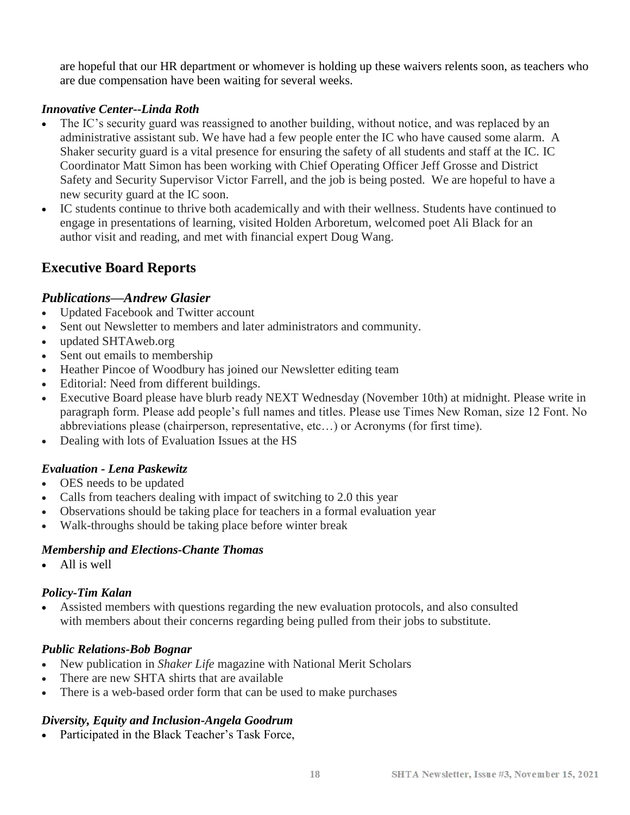are hopeful that our HR department or whomever is holding up these waivers relents soon, as teachers who are due compensation have been waiting for several weeks.

#### *Innovative Center--Linda Roth*

- The IC's security guard was reassigned to another building, without notice, and was replaced by an administrative assistant sub. We have had a few people enter the IC who have caused some alarm. A Shaker security guard is a vital presence for ensuring the safety of all students and staff at the IC. IC Coordinator Matt Simon has been working with Chief Operating Officer Jeff Grosse and District Safety and Security Supervisor Victor Farrell, and the job is being posted. We are hopeful to have a new security guard at the IC soon.
- IC students continue to thrive both academically and with their wellness. Students have continued to engage in presentations of learning, visited Holden Arboretum, welcomed poet Ali Black for an author visit and reading, and met with financial expert Doug Wang.

## **Executive Board Reports**

#### *Publications—Andrew Glasier*

- Updated Facebook and Twitter account
- Sent out Newsletter to members and later administrators and community.
- updated SHTAweb.org
- Sent out emails to membership
- Heather Pincoe of Woodbury has joined our Newsletter editing team
- Editorial: Need from different buildings.
- Executive Board please have blurb ready NEXT Wednesday (November 10th) at midnight. Please write in paragraph form. Please add people's full names and titles. Please use Times New Roman, size 12 Font. No abbreviations please (chairperson, representative, etc…) or Acronyms (for first time).
- Dealing with lots of Evaluation Issues at the HS

#### *Evaluation - Lena Paskewitz*

- OES needs to be updated
- Calls from teachers dealing with impact of switching to 2.0 this year
- Observations should be taking place for teachers in a formal evaluation year
- Walk-throughs should be taking place before winter break

#### *Membership and Elections-Chante Thomas*

• All is well

#### *Policy-Tim Kalan*

• Assisted members with questions regarding the new evaluation protocols, and also consulted with members about their concerns regarding being pulled from their jobs to substitute.

#### *Public Relations-Bob Bognar*

- New publication in *Shaker Life* magazine with National Merit Scholars
- There are new SHTA shirts that are available
- There is a web-based order form that can be used to make purchases

#### *Diversity, Equity and Inclusion-Angela Goodrum*

• Participated in the Black Teacher's Task Force,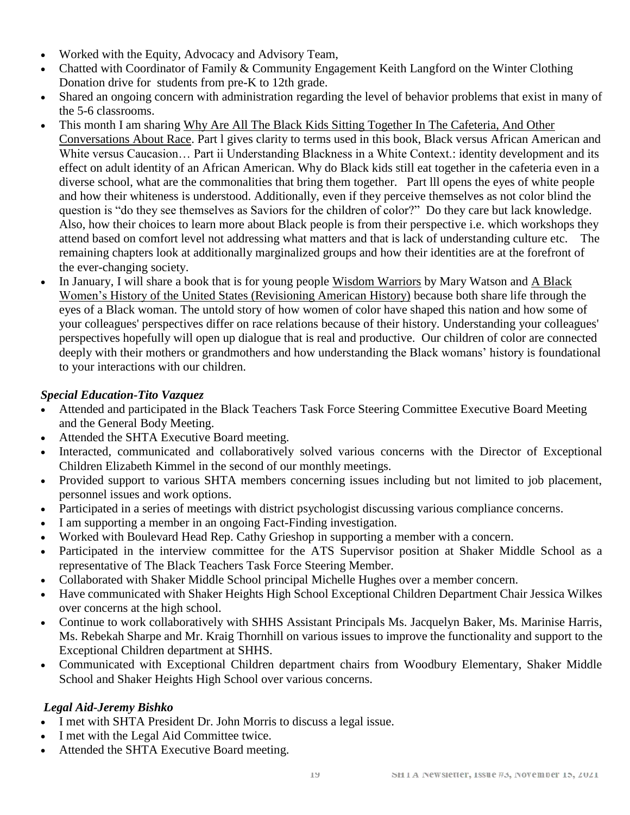- Worked with the Equity, Advocacy and Advisory Team,
- Chatted with Coordinator of Family & Community Engagement Keith Langford on the Winter Clothing Donation drive for students from pre-K to 12th grade.
- Shared an ongoing concern with administration regarding the level of behavior problems that exist in many of the 5-6 classrooms.
- This month I am sharing Why Are All The Black Kids Sitting Together In The Cafeteria, And Other Conversations About Race. Part l gives clarity to terms used in this book, Black versus African American and White versus Caucasion... Part ii Understanding Blackness in a White Context.: identity development and its effect on adult identity of an African American. Why do Black kids still eat together in the cafeteria even in a diverse school, what are the commonalities that bring them together. Part lll opens the eyes of white people and how their whiteness is understood. Additionally, even if they perceive themselves as not color blind the question is "do they see themselves as Saviors for the children of color?" Do they care but lack knowledge. Also, how their choices to learn more about Black people is from their perspective i.e. which workshops they attend based on comfort level not addressing what matters and that is lack of understanding culture etc. The remaining chapters look at additionally marginalized groups and how their identities are at the forefront of the ever-changing society.
- In January, I will share a book that is for young people Wisdom Warriors by Mary Watson and A Black Women's History of the United States (Revisioning American History) because both share life through the eyes of a Black woman. The untold story of how women of color have shaped this nation and how some of your colleagues' perspectives differ on race relations because of their history. Understanding your colleagues' perspectives hopefully will open up dialogue that is real and productive. Our children of color are connected deeply with their mothers or grandmothers and how understanding the Black womans' history is foundational to your interactions with our children.

#### *Special Education-Tito Vazquez*

- Attended and participated in the Black Teachers Task Force Steering Committee Executive Board Meeting and the General Body Meeting.
- Attended the SHTA Executive Board meeting.
- Interacted, communicated and collaboratively solved various concerns with the Director of Exceptional Children Elizabeth Kimmel in the second of our monthly meetings.
- Provided support to various SHTA members concerning issues including but not limited to job placement, personnel issues and work options.
- Participated in a series of meetings with district psychologist discussing various compliance concerns.
- I am supporting a member in an ongoing Fact-Finding investigation.
- Worked with Boulevard Head Rep. Cathy Grieshop in supporting a member with a concern.
- Participated in the interview committee for the ATS Supervisor position at Shaker Middle School as a representative of The Black Teachers Task Force Steering Member.
- Collaborated with Shaker Middle School principal Michelle Hughes over a member concern.
- Have communicated with Shaker Heights High School Exceptional Children Department Chair Jessica Wilkes over concerns at the high school.
- Continue to work collaboratively with SHHS Assistant Principals Ms. Jacquelyn Baker, Ms. Marinise Harris, Ms. Rebekah Sharpe and Mr. Kraig Thornhill on various issues to improve the functionality and support to the Exceptional Children department at SHHS.
- Communicated with Exceptional Children department chairs from Woodbury Elementary, Shaker Middle School and Shaker Heights High School over various concerns.

#### *Legal Aid-Jeremy Bishko*

- I met with SHTA President Dr. John Morris to discuss a legal issue.
- I met with the Legal Aid Committee twice.
- Attended the SHTA Executive Board meeting.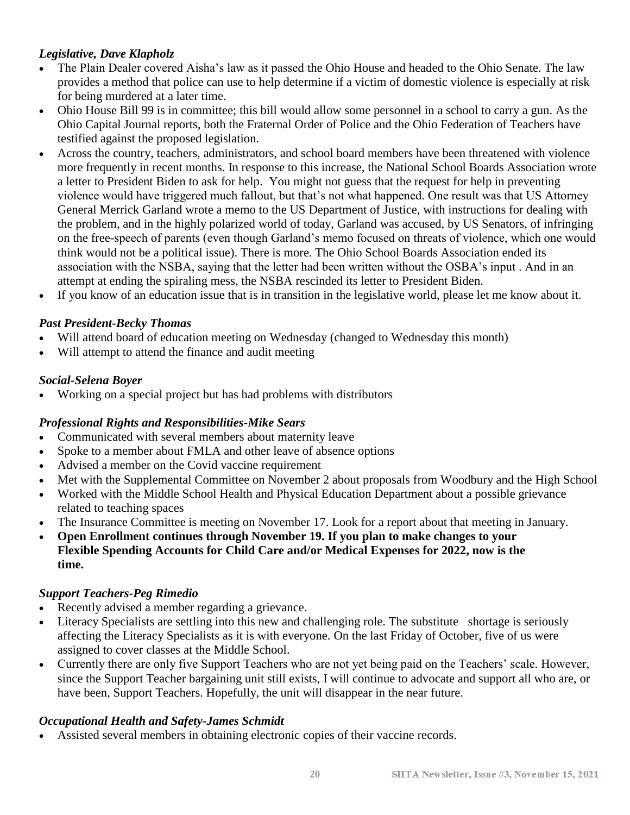#### *Legislative, Dave Klapholz*

- The Plain Dealer covered Aisha's law as it passed the Ohio House and headed to the Ohio Senate. The law provides a method that police can use to help determine if a victim of domestic violence is especially at risk for being murdered at a later time.
- Ohio House Bill 99 is in committee; this bill would allow some personnel in a school to carry a gun. As the Ohio Capital Journal reports, both the Fraternal Order of Police and the Ohio Federation of Teachers have testified against the proposed legislation.
- Across the country, teachers, administrators, and school board members have been threatened with violence more frequently in recent months. In response to this increase, the National School Boards Association wrote a letter to President Biden to ask for help. You might not guess that the request for help in preventing violence would have triggered much fallout, but that's not what happened. One result was that US Attorney General Merrick Garland wrote a memo to the US Department of Justice, with instructions for dealing with the problem, and in the highly polarized world of today, Garland was accused, by US Senators, of infringing on the free-speech of parents (even though Garland's memo focused on threats of violence, which one would think would not be a political issue). There is more. The Ohio School Boards Association ended its association with the NSBA, saying that the letter had been written without the OSBA's input . And in an attempt at ending the spiraling mess, the NSBA rescinded its letter to President Biden.
- If you know of an education issue that is in transition in the legislative world, please let me know about it.

#### *Past President-Becky Thomas*

- Will attend board of education meeting on Wednesday (changed to Wednesday this month)
- Will attempt to attend the finance and audit meeting

#### *Social-Selena Boyer*

• Working on a special project but has had problems with distributors

#### *Professional Rights and Responsibilities-Mike Sears*

- Communicated with several members about maternity leave
- Spoke to a member about FMLA and other leave of absence options
- Advised a member on the Covid vaccine requirement
- Met with the Supplemental Committee on November 2 about proposals from Woodbury and the High School
- Worked with the Middle School Health and Physical Education Department about a possible grievance related to teaching spaces
- The Insurance Committee is meeting on November 17. Look for a report about that meeting in January.
- **Open Enrollment continues through November 19. If you plan to make changes to your Flexible Spending Accounts for Child Care and/or Medical Expenses for 2022, now is the time.**

#### *Support Teachers-Peg Rimedio*

- Recently advised a member regarding a grievance.
- Literacy Specialists are settling into this new and challenging role. The substitute shortage is seriously affecting the Literacy Specialists as it is with everyone. On the last Friday of October, five of us were assigned to cover classes at the Middle School.
- Currently there are only five Support Teachers who are not yet being paid on the Teachers' scale. However, since the Support Teacher bargaining unit still exists, I will continue to advocate and support all who are, or have been, Support Teachers. Hopefully, the unit will disappear in the near future.

#### *Occupational Health and Safety-James Schmidt*

Assisted several members in obtaining electronic copies of their vaccine records.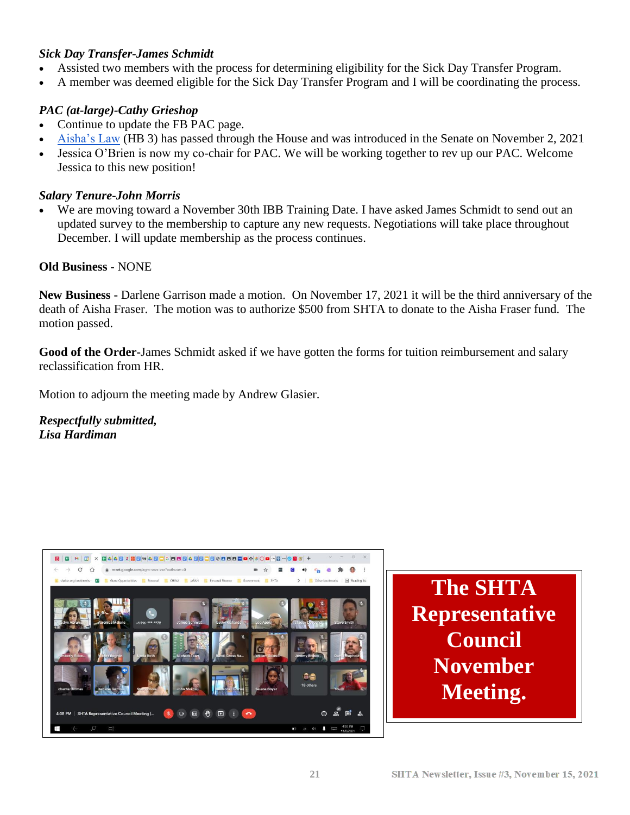#### *Sick Day Transfer-James Schmidt*

- Assisted two members with the process for determining eligibility for the Sick Day Transfer Program.
- A member was deemed eligible for the Sick Day Transfer Program and I will be coordinating the process.

#### *PAC (at-large)-Cathy Grieshop*

- Continue to update the FB PAC page.
- [Aisha's Law](https://ohiohouse.gov/members/janine-r-boyd/news/aishas-law-legislation-to-protect-those-at-risk-of-domestic-violence-overwhelmingly-passes-ohio-house-107561) (HB 3) has passed through the House and was introduced in the Senate on November 2, 2021
- Jessica O'Brien is now my co-chair for PAC. We will be working together to rev up our PAC. Welcome Jessica to this new position!

#### *Salary Tenure-John Morris*

We are moving toward a November 30th IBB Training Date. I have asked James Schmidt to send out an updated survey to the membership to capture any new requests. Negotiations will take place throughout December. I will update membership as the process continues.

#### **Old Business** - NONE

**New Business -** Darlene Garrison made a motion. On November 17, 2021 it will be the third anniversary of the death of Aisha Fraser. The motion was to authorize \$500 from SHTA to donate to the Aisha Fraser fund. The motion passed.

**Good of the Order-**James Schmidt asked if we have gotten the forms for tuition reimbursement and salary reclassification from HR.

Motion to adjourn the meeting made by Andrew Glasier.

*Respectfully submitted, Lisa Hardiman*

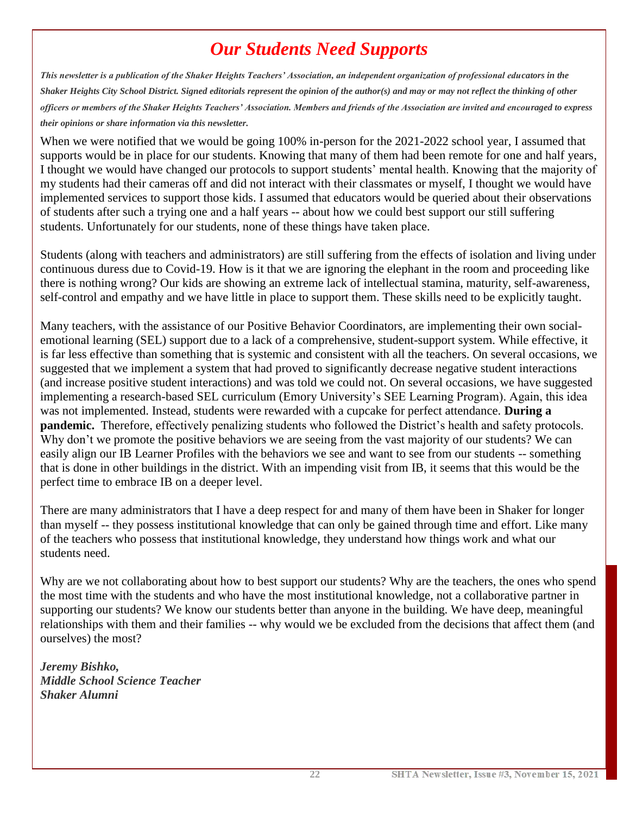## *Our Students Need Supports*

*This newsletter is a publication of the Shaker Heights Teachers' Association, an independent organization of professional educators in the Shaker Heights City School District. Signed editorials represent the opinion of the author(s) and may or may not reflect the thinking of other officers or members of the Shaker Heights Teachers' Association. Members and friends of the Association are invited and encouraged to express their opinions or share information via this newsletter.*

When we were notified that we would be going 100% in-person for the 2021-2022 school year, I assumed that supports would be in place for our students. Knowing that many of them had been remote for one and half years, I thought we would have changed our protocols to support students' mental health. Knowing that the majority of my students had their cameras off and did not interact with their classmates or myself, I thought we would have implemented services to support those kids. I assumed that educators would be queried about their observations of students after such a trying one and a half years -- about how we could best support our still suffering students. Unfortunately for our students, none of these things have taken place.

Students (along with teachers and administrators) are still suffering from the effects of isolation and living under continuous duress due to Covid-19. How is it that we are ignoring the elephant in the room and proceeding like there is nothing wrong? Our kids are showing an extreme lack of intellectual stamina, maturity, self-awareness, self-control and empathy and we have little in place to support them. These skills need to be explicitly taught.

Many teachers, with the assistance of our Positive Behavior Coordinators, are implementing their own socialemotional learning (SEL) support due to a lack of a comprehensive, student-support system. While effective, it is far less effective than something that is systemic and consistent with all the teachers. On several occasions, we suggested that we implement a system that had proved to significantly decrease negative student interactions (and increase positive student interactions) and was told we could not. On several occasions, we have suggested implementing a research-based SEL curriculum (Emory University's SEE Learning Program). Again, this idea was not implemented. Instead, students were rewarded with a cupcake for perfect attendance. **During a pandemic.** Therefore, effectively penalizing students who followed the District's health and safety protocols. Why don't we promote the positive behaviors we are seeing from the vast majority of our students? We can easily align our IB Learner Profiles with the behaviors we see and want to see from our students -- something that is done in other buildings in the district. With an impending visit from IB, it seems that this would be the perfect time to embrace IB on a deeper level.

There are many administrators that I have a deep respect for and many of them have been in Shaker for longer than myself -- they possess institutional knowledge that can only be gained through time and effort. Like many of the teachers who possess that institutional knowledge, they understand how things work and what our students need.

Why are we not collaborating about how to best support our students? Why are the teachers, the ones who spend the most time with the students and who have the most institutional knowledge, not a collaborative partner in supporting our students? We know our students better than anyone in the building. We have deep, meaningful relationships with them and their families -- why would we be excluded from the decisions that affect them (and ourselves) the most?

*Jeremy Bishko, Middle School Science Teacher Shaker Alumni*